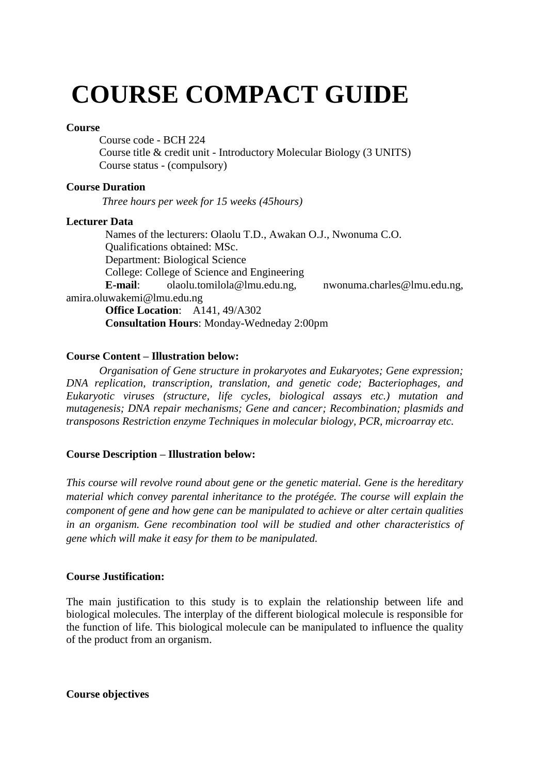# **COURSE COMPACT GUIDE**

#### **Course**

Course code - BCH 224 Course title & credit unit - Introductory Molecular Biology (3 UNITS) Course status - (compulsory)

#### **Course Duration**

*Three hours per week for 15 weeks (45hours)*

#### **Lecturer Data**

Names of the lecturers: Olaolu T.D., Awakan O.J., Nwonuma C.O. Qualifications obtained: MSc. Department: Biological Science College: College of Science and Engineering **E-mail**: [olaolu.tomilola@lmu.edu.ng,](mailto:olaolu.tomilola@lmu.edu.ng) [nwonuma.charles@lmu.edu.ng,](mailto:nwonuma.charles@lmu.edu.ng) amira.oluwakemi@lmu.edu.ng **Office Location**: A141, 49/A302

**Consultation Hours**: Monday-Wedneday 2:00pm

#### **Course Content – Illustration below:**

*Organisation of Gene structure in prokaryotes and Eukaryotes; Gene expression; DNA replication, transcription, translation, and genetic code; Bacteriophages, and Eukaryotic viruses (structure, life cycles, biological assays etc.) mutation and mutagenesis; DNA repair mechanisms; Gene and cancer; Recombination; plasmids and transposons Restriction enzyme Techniques in molecular biology, PCR, microarray etc.*

#### **Course Description – Illustration below:**

*This course will revolve round about gene or the genetic material. Gene is the hereditary material which convey parental inheritance to the protégée. The course will explain the component of gene and how gene can be manipulated to achieve or alter certain qualities in an organism. Gene recombination tool will be studied and other characteristics of gene which will make it easy for them to be manipulated.*

#### **Course Justification:**

The main justification to this study is to explain the relationship between life and biological molecules. The interplay of the different biological molecule is responsible for the function of life. This biological molecule can be manipulated to influence the quality of the product from an organism.

**Course objectives**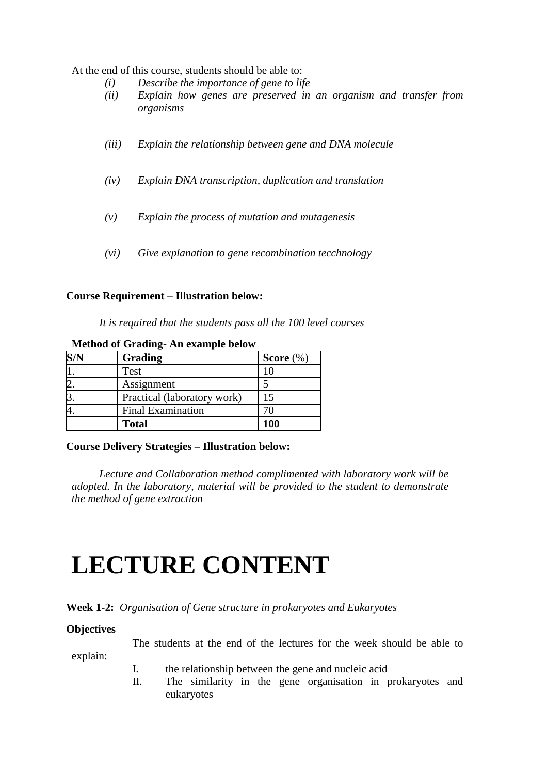At the end of this course, students should be able to:

- *(i) Describe the importance of gene to life*
- *(ii) Explain how genes are preserved in an organism and transfer from organisms*
- *(iii) Explain the relationship between gene and DNA molecule*
- *(iv) Explain DNA transcription, duplication and translation*
- *(v) Explain the process of mutation and mutagenesis*
- *(vi) Give explanation to gene recombination tecchnology*

#### **Course Requirement – Illustration below:**

*It is required that the students pass all the 100 level courses* 

| incurso of Graunic Tim caampic below |                             |              |  |  |
|--------------------------------------|-----------------------------|--------------|--|--|
| S/N                                  | Grading                     | Score $(\%)$ |  |  |
|                                      | <b>Test</b>                 |              |  |  |
|                                      | Assignment                  |              |  |  |
| $\mathsf B$ .                        | Practical (laboratory work) | 15           |  |  |
|                                      | <b>Final Examination</b>    | 70           |  |  |
|                                      | <b>Total</b>                | 100          |  |  |

#### **Method of Grading- An example below**

#### **Course Delivery Strategies – Illustration below:**

*Lecture and Collaboration method complimented with laboratory work will be adopted. In the laboratory, material will be provided to the student to demonstrate the method of gene extraction*

## **LECTURE CONTENT**

|  |  | Week 1-2: Organisation of Gene structure in prokaryotes and Eukaryotes |  |  |
|--|--|------------------------------------------------------------------------|--|--|
|--|--|------------------------------------------------------------------------|--|--|

#### **Objectives**

The students at the end of the lectures for the week should be able to explain:

- I. the relationship between the gene and nucleic acid
- II. The similarity in the gene organisation in prokaryotes and eukaryotes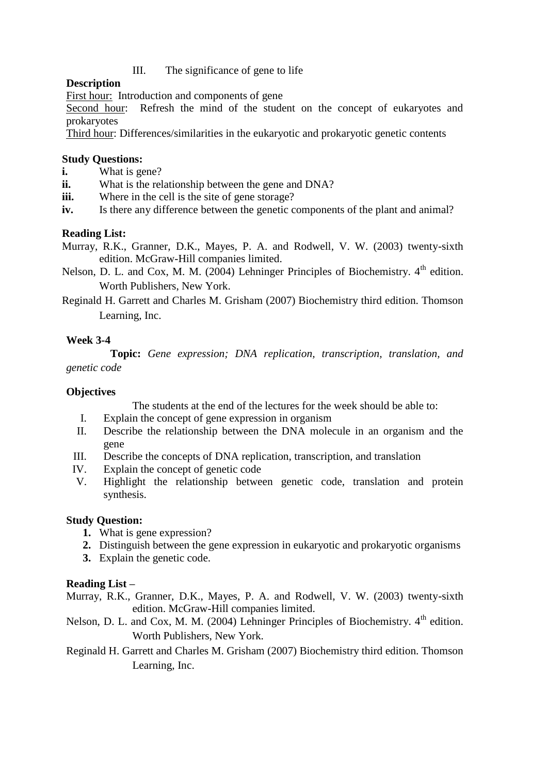III. The significance of gene to life

#### **Description**

First hour: Introduction and components of gene<br>Second hour: Refresh the mind of the stude

Refresh the mind of the student on the concept of eukaryotes and prokaryotes

Third hour: Differences/similarities in the eukaryotic and prokaryotic genetic contents

#### **Study Questions:**

- **i.** What is gene?
- **ii.** What is the relationship between the gene and DNA?
- **iii.** Where in the cell is the site of gene storage?

**iv.** Is there any difference between the genetic components of the plant and animal?

#### **Reading List:**

Murray, R.K., Granner, D.K., Mayes, P. A. and Rodwell, V. W. (2003) twenty-sixth edition. McGraw-Hill companies limited.

Nelson, D. L. and Cox, M. M. (2004) Lehninger Principles of Biochemistry.  $4^{\text{th}}$  edition. Worth Publishers, New York.

Reginald H. Garrett and Charles M. Grisham (2007) Biochemistry third edition. Thomson Learning, Inc.

#### **Week 3-4**

 **Topic:** *Gene expression; DNA replication, transcription, translation, and genetic code*

#### **Objectives**

The students at the end of the lectures for the week should be able to:

- I. Explain the concept of gene expression in organism
- II. Describe the relationship between the DNA molecule in an organism and the gene
- III. Describe the concepts of DNA replication, transcription, and translation
- IV. Explain the concept of genetic code
- V. Highlight the relationship between genetic code, translation and protein synthesis.

## **Study Question:**

- **1.** What is gene expression?
- **2.** Distinguish between the gene expression in eukaryotic and prokaryotic organisms
- **3.** Explain the genetic code.

#### **Reading List –**

Murray, R.K., Granner, D.K., Mayes, P. A. and Rodwell, V. W. (2003) twenty-sixth edition. McGraw-Hill companies limited.

- Nelson, D. L. and Cox, M. M. (2004) Lehninger Principles of Biochemistry. 4<sup>th</sup> edition. Worth Publishers, New York.
- Reginald H. Garrett and Charles M. Grisham (2007) Biochemistry third edition. Thomson Learning, Inc.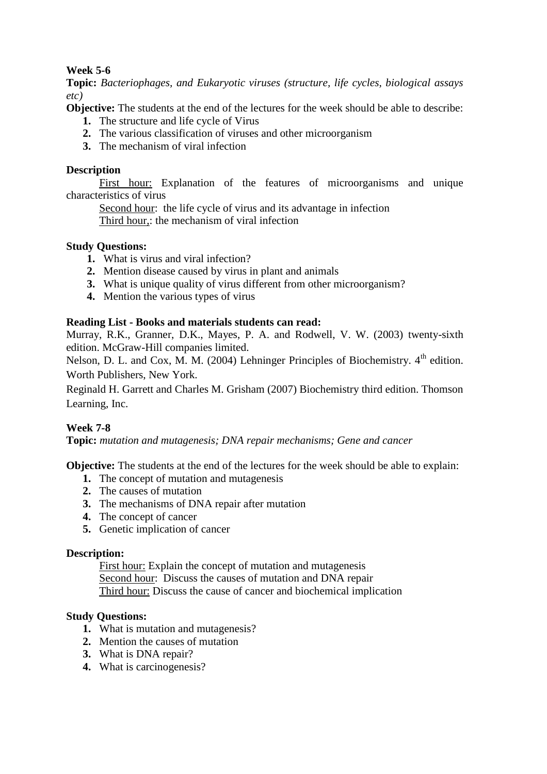## **Week 5-6**

**Topic:** *Bacteriophages, and Eukaryotic viruses (structure, life cycles, biological assays etc)*

**Objective:** The students at the end of the lectures for the week should be able to describe:

- **1.** The structure and life cycle of Virus
- **2.** The various classification of viruses and other microorganism
- **3.** The mechanism of viral infection

## **Description**

First hour: Explanation of the features of microorganisms and unique characteristics of virus

Second hour: the life cycle of virus and its advantage in infection Third hour,: the mechanism of viral infection

## **Study Questions:**

- **1.** What is virus and viral infection?
- **2.** Mention disease caused by virus in plant and animals
- **3.** What is unique quality of virus different from other microorganism?
- **4.** Mention the various types of virus

## **Reading List - Books and materials students can read:**

Murray, R.K., Granner, D.K., Mayes, P. A. and Rodwell, V. W. (2003) twenty-sixth edition. McGraw-Hill companies limited.

Nelson, D. L. and Cox, M. M. (2004) Lehninger Principles of Biochemistry.  $4<sup>th</sup>$  edition. Worth Publishers, New York.

Reginald H. Garrett and Charles M. Grisham (2007) Biochemistry third edition. Thomson Learning, Inc.

## **Week 7-8**

**Topic:** *mutation and mutagenesis; DNA repair mechanisms; Gene and cancer*

**Objective:** The students at the end of the lectures for the week should be able to explain:

- **1.** The concept of mutation and mutagenesis
- **2.** The causes of mutation
- **3.** The mechanisms of DNA repair after mutation
- **4.** The concept of cancer
- **5.** Genetic implication of cancer

## **Description:**

First hour: Explain the concept of mutation and mutagenesis Second hour: Discuss the causes of mutation and DNA repair Third hour: Discuss the cause of cancer and biochemical implication

## **Study Questions:**

- **1.** What is mutation and mutagenesis?
- **2.** Mention the causes of mutation
- **3.** What is DNA repair?
- **4.** What is carcinogenesis?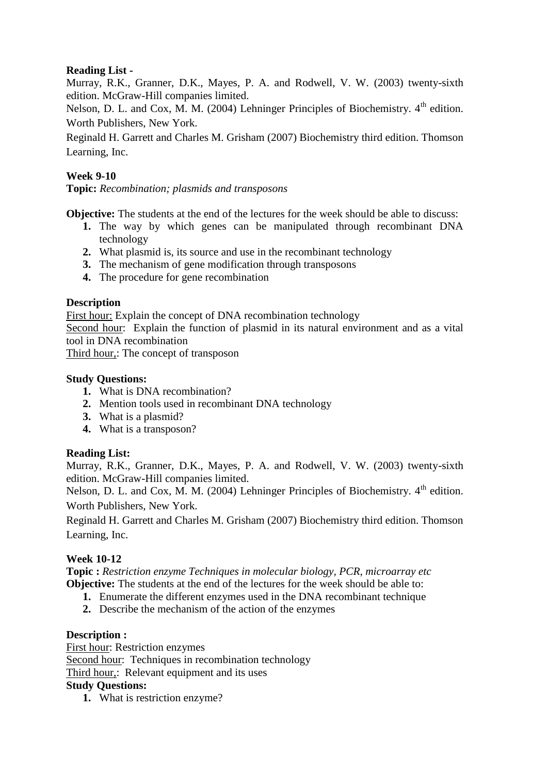## **Reading List -**

Murray, R.K., Granner, D.K., Mayes, P. A. and Rodwell, V. W. (2003) twenty-sixth edition. McGraw-Hill companies limited.

Nelson, D. L. and Cox, M. M. (2004) Lehninger Principles of Biochemistry.  $4^{\text{th}}$  edition. Worth Publishers, New York.

Reginald H. Garrett and Charles M. Grisham (2007) Biochemistry third edition. Thomson Learning, Inc.

## **Week 9-10**

**Topic:** *Recombination; plasmids and transposons*

**Objective:** The students at the end of the lectures for the week should be able to discuss:

- **1.** The way by which genes can be manipulated through recombinant DNA technology
- **2.** What plasmid is, its source and use in the recombinant technology
- **3.** The mechanism of gene modification through transposons
- **4.** The procedure for gene recombination

## **Description**

First hour: Explain the concept of DNA recombination technology

Second hour: Explain the function of plasmid in its natural environment and as a vital tool in DNA recombination

Third hour,: The concept of transposon

## **Study Questions:**

- **1.** What is DNA recombination?
- **2.** Mention tools used in recombinant DNA technology
- **3.** What is a plasmid?
- **4.** What is a transposon?

## **Reading List:**

Murray, R.K., Granner, D.K., Mayes, P. A. and Rodwell, V. W. (2003) twenty-sixth edition. McGraw-Hill companies limited.

Nelson, D. L. and Cox, M. M. (2004) Lehninger Principles of Biochemistry.  $4<sup>th</sup>$  edition. Worth Publishers, New York.

Reginald H. Garrett and Charles M. Grisham (2007) Biochemistry third edition. Thomson Learning, Inc.

## **Week 10-12**

**Topic :** *Restriction enzyme Techniques in molecular biology, PCR, microarray etc* **Objective:** The students at the end of the lectures for the week should be able to:

- **1.** Enumerate the different enzymes used in the DNA recombinant technique
- **2.** Describe the mechanism of the action of the enzymes

## **Description :**

First hour: Restriction enzymes Second hour: Techniques in recombination technology Third hour,: Relevant equipment and its uses **Study Questions:** 

**1.** What is restriction enzyme?